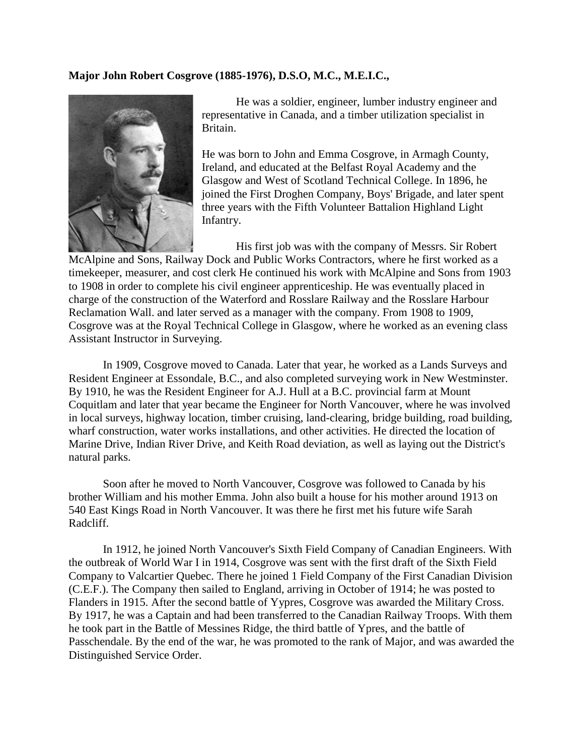## **Major John Robert Cosgrove (1885-1976), D.S.O, M.C., M.E.I.C.,**



He was a soldier, engineer, lumber industry engineer and representative in Canada, and a timber utilization specialist in Britain.

He was born to John and Emma Cosgrove, in Armagh County, Ireland, and educated at the Belfast Royal Academy and the Glasgow and West of Scotland Technical College. In 1896, he joined the First Droghen Company, Boys' Brigade, and later spent three years with the Fifth Volunteer Battalion Highland Light Infantry.

His first job was with the company of Messrs. Sir Robert McAlpine and Sons, Railway Dock and Public Works Contractors, where he first worked as a timekeeper, measurer, and cost clerk He continued his work with McAlpine and Sons from 1903 to 1908 in order to complete his civil engineer apprenticeship. He was eventually placed in charge of the construction of the Waterford and Rosslare Railway and the Rosslare Harbour Reclamation Wall. and later served as a manager with the company. From 1908 to 1909, Cosgrove was at the Royal Technical College in Glasgow, where he worked as an evening class Assistant Instructor in Surveying.

In 1909, Cosgrove moved to Canada. Later that year, he worked as a Lands Surveys and Resident Engineer at Essondale, B.C., and also completed surveying work in New Westminster. By 1910, he was the Resident Engineer for A.J. Hull at a B.C. provincial farm at Mount Coquitlam and later that year became the Engineer for North Vancouver, where he was involved in local surveys, highway location, timber cruising, land-clearing, bridge building, road building, wharf construction, water works installations, and other activities. He directed the location of Marine Drive, Indian River Drive, and Keith Road deviation, as well as laying out the District's natural parks.

Soon after he moved to North Vancouver, Cosgrove was followed to Canada by his brother William and his mother Emma. John also built a house for his mother around 1913 on 540 East Kings Road in North Vancouver. It was there he first met his future wife Sarah Radcliff.

In 1912, he joined North Vancouver's Sixth Field Company of Canadian Engineers. With the outbreak of World War I in 1914, Cosgrove was sent with the first draft of the Sixth Field Company to Valcartier Quebec. There he joined 1 Field Company of the First Canadian Division (C.E.F.). The Company then sailed to England, arriving in October of 1914; he was posted to Flanders in 1915. After the second battle of Yypres, Cosgrove was awarded the Military Cross. By 1917, he was a Captain and had been transferred to the Canadian Railway Troops. With them he took part in the Battle of Messines Ridge, the third battle of Ypres, and the battle of Passchendale. By the end of the war, he was promoted to the rank of Major, and was awarded the Distinguished Service Order.